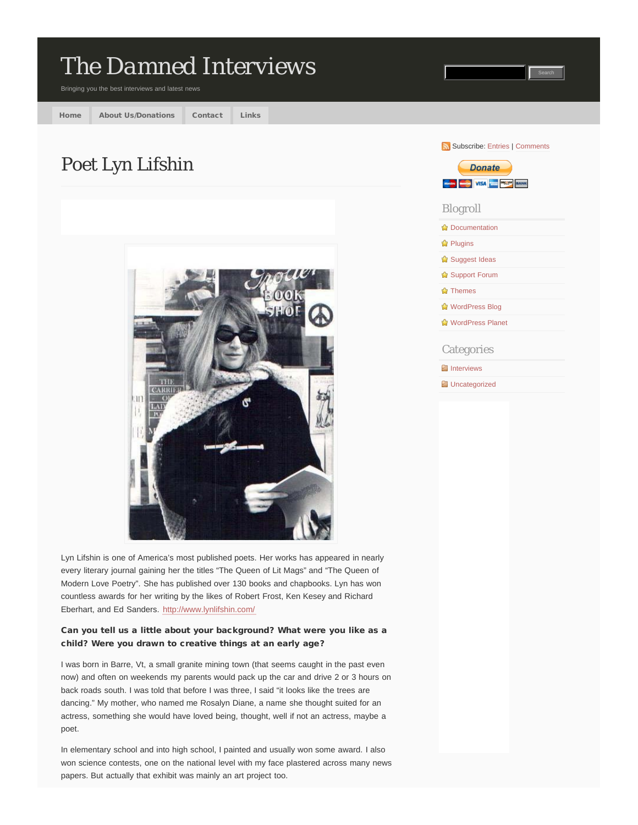# *[The Damned Interviews](http://www.thedamnedinterviews.com/)* Bringing you the best interviews and latest news [Home](http://www.thedamnedinterviews.com/) [About Us/Donations](http://www.thedamnedinterviews.com/aboutusdonations/) [Contact](http://www.thedamnedinterviews.com/contact/) [Links](http://www.thedamnedinterviews.com/links/) Subscribe: [Entries](http://www.thedamnedinterviews.com/feed/) | [Comments](http://www.thedamnedinterviews.com/comments/feed/) Poet Lyn Lifshin **Donate** suchro samos VISA since precipit nannut Blogroll **[Documentation](http://codex.wordpress.org/)** *C* [Plugins](http://wordpress.org/extend/plugins/) **[Suggest Ideas](http://wordpress.org/extend/ideas/) [Support Forum](http://wordpress.org/support/) [Themes](http://wordpress.org/extend/themes/) [WordPress Blog](http://wordpress.org/news/) [WordPress Planet](http://planet.wordpress.org/) Categories E** [Interviews](http://www.thedamnedinterviews.com/category/interviews/) **Ed** [Uncategorized](http://www.thedamnedinterviews.com/category/uncategorized/)

Lyn Lifshin is one of America's most published poets. Her works has appeared in nearly every literary journal gaining her the titles "The Queen of Lit Mags" and "The Queen of Modern Love Poetry". She has published over 130 books and chapbooks. Lyn has won countless awards for her writing by the likes of Robert Frost, Ken Kesey and Richard Eberhart, and Ed Sanders. <http://www.lynlifshin.com/>

## Can you tell us a little about your background? What were you like as a child? Were you drawn to creative things at an early age?

I was born in Barre, Vt, a small granite mining town (that seems caught in the past even now) and often on weekends my parents would pack up the car and drive 2 or 3 hours on back roads south. I was told that before I was three, I said "it looks like the trees are dancing." My mother, who named me Rosalyn Diane, a name she thought suited for an actress, something she would have loved being, thought, well if not an actress, maybe a poet.

In elementary school and into high school, I painted and usually won some award. I also won science contests, one on the national level with my face plastered across many news papers. But actually that exhibit was mainly an art project too.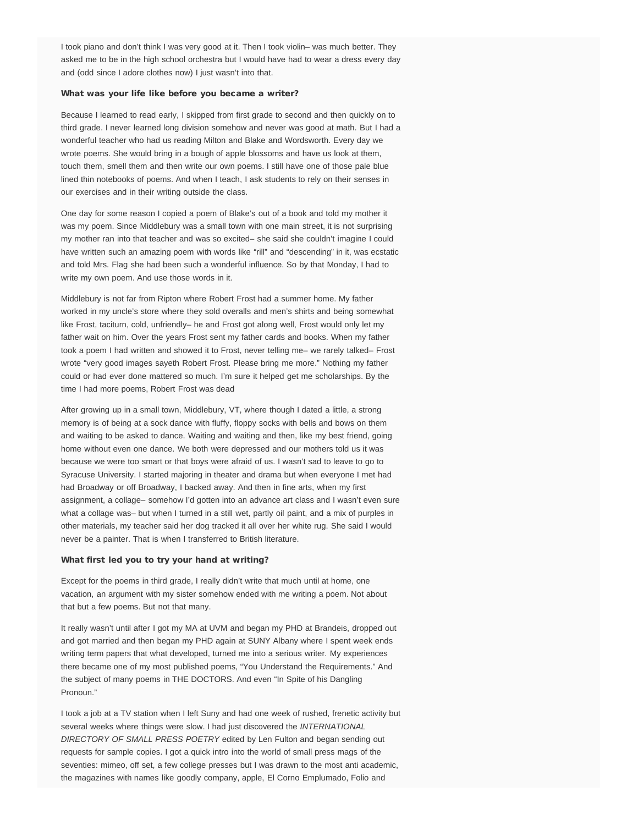I took piano and don't think I was very good at it. Then I took violin– was much better. They asked me to be in the high school orchestra but I would have had to wear a dress every day and (odd since I adore clothes now) I just wasn't into that.

#### What was your life like before you became a writer?

Because I learned to read early, I skipped from first grade to second and then quickly on to third grade. I never learned long division somehow and never was good at math. But I had a wonderful teacher who had us reading Milton and Blake and Wordsworth. Every day we wrote poems. She would bring in a bough of apple blossoms and have us look at them, touch them, smell them and then write our own poems. I still have one of those pale blue lined thin notebooks of poems. And when I teach, I ask students to rely on their senses in our exercises and in their writing outside the class.

One day for some reason I copied a poem of Blake's out of a book and told my mother it was my poem. Since Middlebury was a small town with one main street, it is not surprising my mother ran into that teacher and was so excited– she said she couldn't imagine I could have written such an amazing poem with words like "rill" and "descending" in it, was ecstatic and told Mrs. Flag she had been such a wonderful influence. So by that Monday, I had to write my own poem. And use those words in it.

Middlebury is not far from Ripton where Robert Frost had a summer home. My father worked in my uncle's store where they sold overalls and men's shirts and being somewhat like Frost, taciturn, cold, unfriendly– he and Frost got along well, Frost would only let my father wait on him. Over the years Frost sent my father cards and books. When my father took a poem I had written and showed it to Frost, never telling me– we rarely talked– Frost wrote "very good images sayeth Robert Frost. Please bring me more." Nothing my father could or had ever done mattered so much. I'm sure it helped get me scholarships. By the time I had more poems, Robert Frost was dead

After growing up in a small town, Middlebury, VT, where though I dated a little, a strong memory is of being at a sock dance with fluffy, floppy socks with bells and bows on them and waiting to be asked to dance. Waiting and waiting and then, like my best friend, going home without even one dance. We both were depressed and our mothers told us it was because we were too smart or that boys were afraid of us. I wasn't sad to leave to go to Syracuse University. I started majoring in theater and drama but when everyone I met had had Broadway or off Broadway, I backed away. And then in fine arts, when my first assignment, a collage– somehow I'd gotten into an advance art class and I wasn't even sure what a collage was– but when I turned in a still wet, partly oil paint, and a mix of purples in other materials, my teacher said her dog tracked it all over her white rug. She said I would never be a painter. That is when I transferred to British literature.

#### What first led you to try your hand at writing?

Except for the poems in third grade, I really didn't write that much until at home, one vacation, an argument with my sister somehow ended with me writing a poem. Not about that but a few poems. But not that many.

It really wasn't until after I got my MA at UVM and began my PHD at Brandeis, dropped out and got married and then began my PHD again at SUNY Albany where I spent week ends writing term papers that what developed, turned me into a serious writer. My experiences there became one of my most published poems, "You Understand the Requirements." And the subject of many poems in THE DOCTORS. And even "In Spite of his Dangling Pronoun."

I took a job at a TV station when I left Suny and had one week of rushed, frenetic activity but several weeks where things were slow. I had just discovered the *INTERNATIONAL DIRECTORY OF SMALL PRESS POETRY* edited by Len Fulton and began sending out requests for sample copies. I got a quick intro into the world of small press mags of the seventies: mimeo, off set, a few college presses but I was drawn to the most anti academic, the magazines with names like goodly company, apple, El Corno Emplumado, Folio and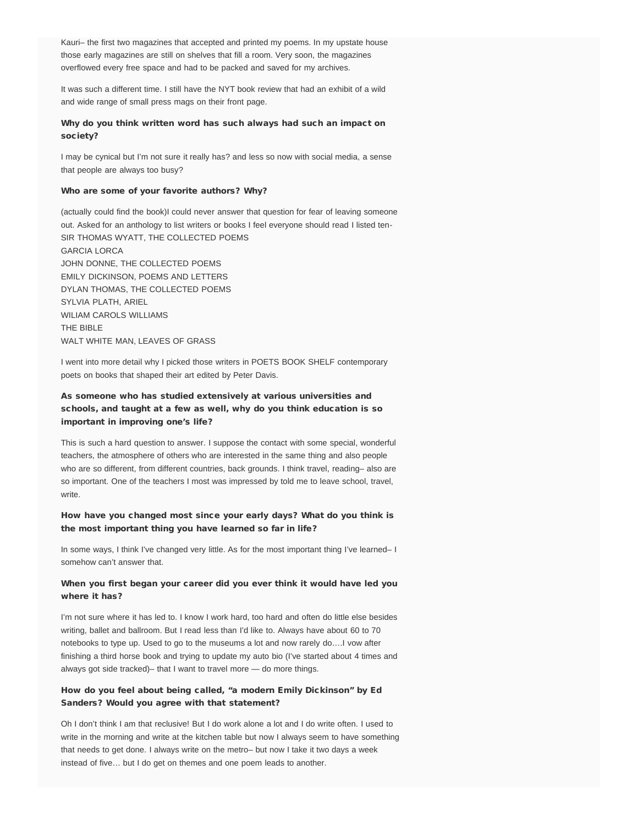Kauri– the first two magazines that accepted and printed my poems. In my upstate house those early magazines are still on shelves that fill a room. Very soon, the magazines overflowed every free space and had to be packed and saved for my archives.

It was such a different time. I still have the NYT book review that had an exhibit of a wild and wide range of small press mags on their front page.

## Why do you think written word has such always had such an impact on society?

I may be cynical but I'm not sure it really has? and less so now with social media, a sense that people are always too busy?

#### Who are some of your favorite authors? Why?

(actually could find the book)I could never answer that question for fear of leaving someone out. Asked for an anthology to list writers or books I feel everyone should read I listed ten-SIR THOMAS WYATT, THE COLLECTED POEMS GARCIA LORCA JOHN DONNE, THE COLLECTED POEMS EMILY DICKINSON, POEMS AND LETTERS DYLAN THOMAS, THE COLLECTED POEMS SYLVIA PLATH, ARIEL WILIAM CAROLS WILLIAMS THE BIBLE WALT WHITE MAN, LEAVES OF GRASS

I went into more detail why I picked those writers in POETS BOOK SHELF contemporary poets on books that shaped their art edited by Peter Davis.

## As someone who has studied extensively at various universities and schools, and taught at a few as well, why do you think education is so important in improving one's life?

This is such a hard question to answer. I suppose the contact with some special, wonderful teachers, the atmosphere of others who are interested in the same thing and also people who are so different, from different countries, back grounds. I think travel, reading– also are so important. One of the teachers I most was impressed by told me to leave school, travel, write.

### How have you changed most since your early days? What do you think is the most important thing you have learned so far in life?

In some ways, I think I've changed very little. As for the most important thing I've learned– I somehow can't answer that.

## When you first began your career did you ever think it would have led you where it has?

I'm not sure where it has led to. I know I work hard, too hard and often do little else besides writing, ballet and ballroom. But I read less than I'd like to. Always have about 60 to 70 notebooks to type up. Used to go to the museums a lot and now rarely do….I vow after finishing a third horse book and trying to update my auto bio (I've started about 4 times and always got side tracked)– that I want to travel more — do more things.

## How do you feel about being called, "a modern Emily Dickinson" by Ed Sanders? Would you agree with that statement?

Oh I don't think I am that reclusive! But I do work alone a lot and I do write often. I used to write in the morning and write at the kitchen table but now I always seem to have something that needs to get done. I always write on the metro– but now I take it two days a week instead of five… but I do get on themes and one poem leads to another.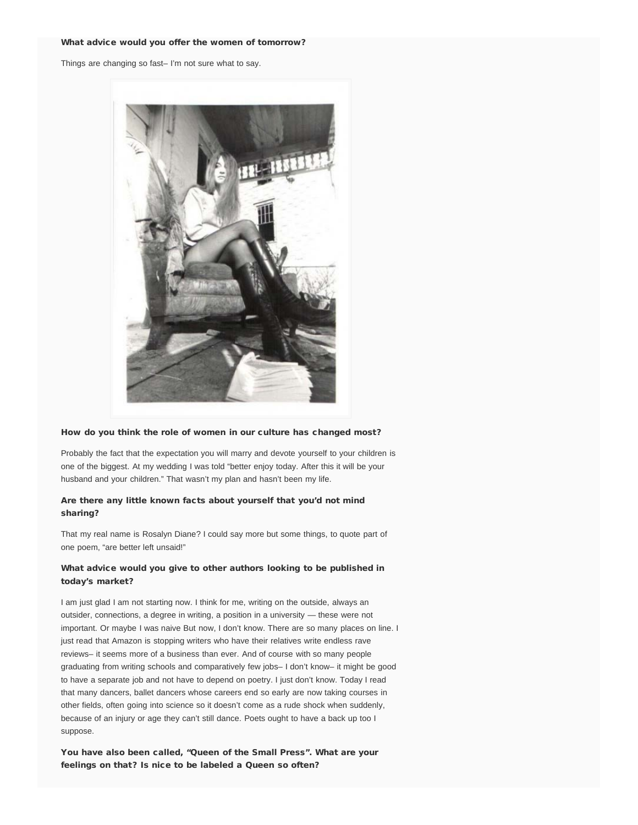#### What advice would you offer the women of tomorrow?

Things are changing so fast– I'm not sure what to say.



#### How do you think the role of women in our culture has changed most?

Probably the fact that the expectation you will marry and devote yourself to your children is one of the biggest. At my wedding I was told "better enjoy today. After this it will be your husband and your children." That wasn't my plan and hasn't been my life.

## Are there any little known facts about yourself that you'd not mind sharing?

That my real name is Rosalyn Diane? I could say more but some things, to quote part of one poem, "are better left unsaid!"

## What advice would you give to other authors looking to be published in today's market?

I am just glad I am not starting now. I think for me, writing on the outside, always an outsider, connections, a degree in writing, a position in a university — these were not important. Or maybe I was naive But now, I don't know. There are so many places on line. I just read that Amazon is stopping writers who have their relatives write endless rave reviews– it seems more of a business than ever. And of course with so many people graduating from writing schools and comparatively few jobs– I don't know– it might be good to have a separate job and not have to depend on poetry. I just don't know. Today I read that many dancers, ballet dancers whose careers end so early are now taking courses in other fields, often going into science so it doesn't come as a rude shock when suddenly, because of an injury or age they can't still dance. Poets ought to have a back up too I suppose.

You have also been called, "Queen of the Small Press". What are your feelings on that? Is nice to be labeled a Queen so often?